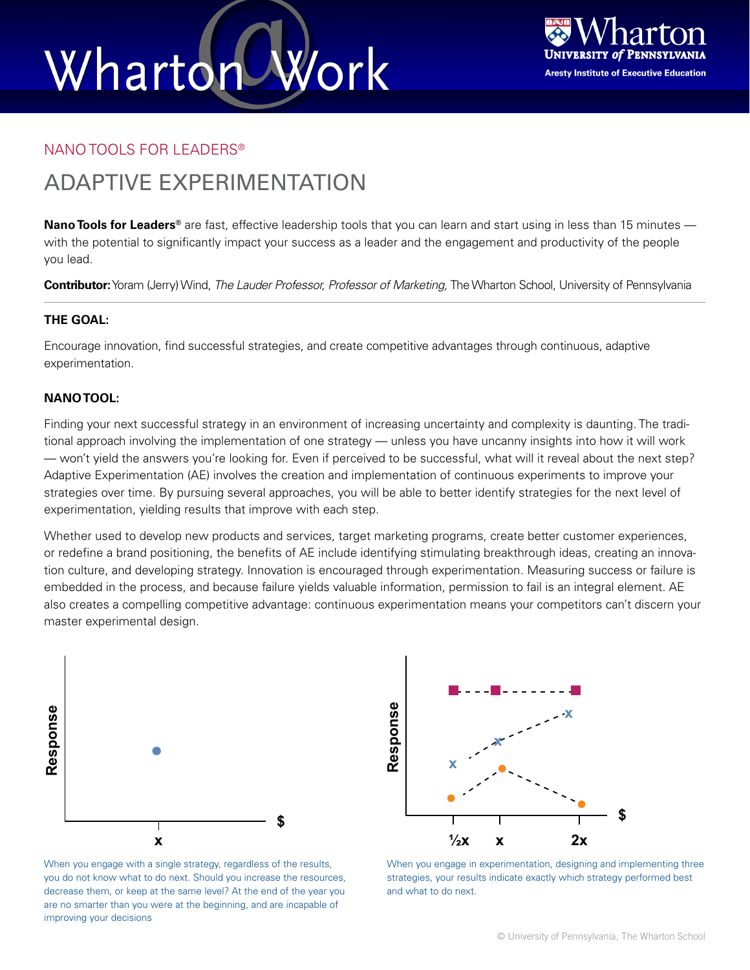# Wharton Work



#### NANO TOOLS FOR LEADERS®

### ADAPTIVE EXPERIMENTATION

**Nano Tools for Leaders®** are fast, effective leadership tools that you can learn and start using in less than 15 minutes with the potential to significantly impact your success as a leader and the engagement and productivity of the people you lead.

**Contributor:** Yoram (Jerry) Wind, *The Lauder Professor, Professor of Marketing,* The Wharton School, University of Pennsylvania

#### **THE GOAL:**

Encourage innovation, find successful strategies, and create competitive advantages through continuous, adaptive experimentation.

#### **NANO TOOL:**

Finding your next successful strategy in an environment of increasing uncertainty and complexity is daunting. The traditional approach involving the implementation of one strategy — unless you have uncanny insights into how it will work — won't yield the answers you're looking for. Even if perceived to be successful, what will it reveal about the next step? Adaptive Experimentation (AE) involves the creation and implementation of continuous experiments to improve your strategies over time. By pursuing several approaches, you will be able to better identify strategies for the next level of experimentation, yielding results that improve with each step.

Whether used to develop new products and services, target marketing programs, create better customer experiences, or redefine a brand positioning, the benefits of AE include identifying stimulating breakthrough ideas, creating an innovation culture, and developing strategy. Innovation is encouraged through experimentation. Measuring success or failure is embedded in the process, and because failure yields valuable information, permission to fail is an integral element. AE also creates a compelling competitive advantage: continuous experimentation means your competitors can't discern your master experimental design.



- - - - - - - **- -**Response **Response x x x \$**  $\frac{1}{2}x$  **x** 2x

When you engage with a single strategy, regardless of the results, you do not know what to do next. Should you increase the resources, decrease them, or keep at the same level? At the end of the year you are no smarter than you were at the beginning, and are incapable of improving your decisions

When you engage in experimentation, designing and implementing three strategies, your results indicate exactly which strategy performed best and what to do next.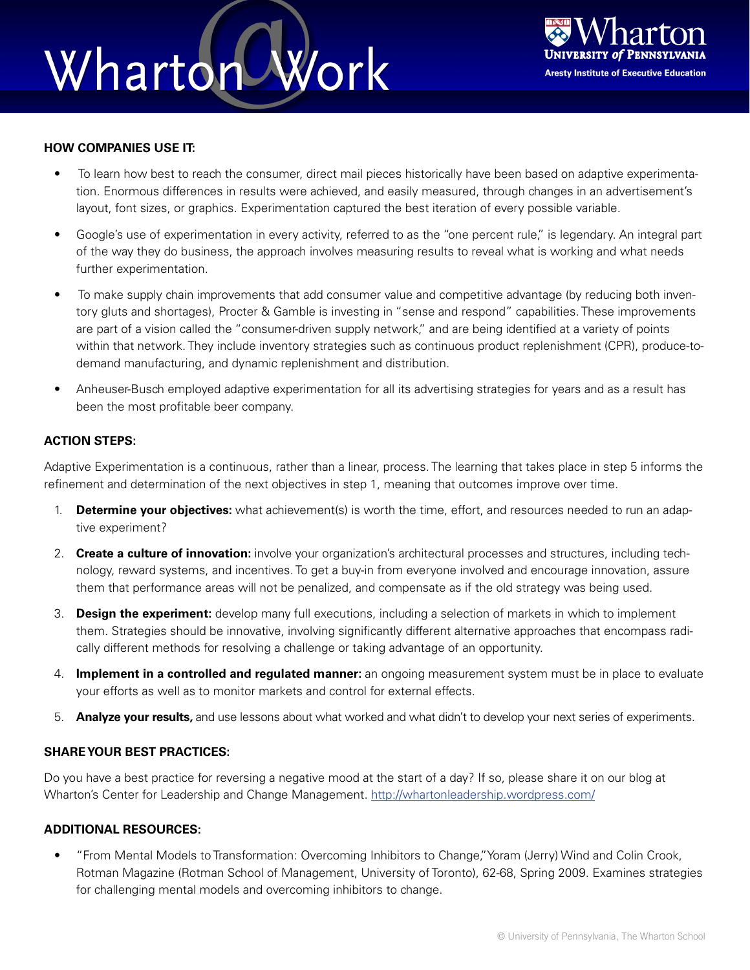## Work Wharton



#### **HOW COMPANIES USE IT:**

- To learn how best to reach the consumer, direct mail pieces historically have been based on adaptive experimentation. Enormous differences in results were achieved, and easily measured, through changes in an advertisement's layout, font sizes, or graphics. Experimentation captured the best iteration of every possible variable.
- Google's use of experimentation in every activity, referred to as the "one percent rule," is legendary. An integral part of the way they do business, the approach involves measuring results to reveal what is working and what needs further experimentation.
- To make supply chain improvements that add consumer value and competitive advantage (by reducing both inventory gluts and shortages), Procter & Gamble is investing in "sense and respond" capabilities. These improvements are part of a vision called the "consumer-driven supply network," and are being identified at a variety of points within that network. They include inventory strategies such as continuous product replenishment (CPR), produce-todemand manufacturing, and dynamic replenishment and distribution.
- Anheuser-Busch employed adaptive experimentation for all its advertising strategies for years and as a result has been the most profitable beer company.

#### **ACTION STEPS:**

Adaptive Experimentation is a continuous, rather than a linear, process. The learning that takes place in step 5 informs the refinement and determination of the next objectives in step 1, meaning that outcomes improve over time.

- 1. **Determine your objectives:** what achievement(s) is worth the time, effort, and resources needed to run an adaptive experiment?
- 2. **Create a culture of innovation:** involve your organization's architectural processes and structures, including technology, reward systems, and incentives. To get a buy-in from everyone involved and encourage innovation, assure them that performance areas will not be penalized, and compensate as if the old strategy was being used.
- 3. **Design the experiment:** develop many full executions, including a selection of markets in which to implement them. Strategies should be innovative, involving significantly different alternative approaches that encompass radically different methods for resolving a challenge or taking advantage of an opportunity.
- 4. **Implement in a controlled and regulated manner:** an ongoing measurement system must be in place to evaluate your efforts as well as to monitor markets and control for external effects.
- 5. **Analyze your results,** and use lessons about what worked and what didn't to develop your next series of experiments.

#### **SHARE YOUR BEST PRACTICES:**

Do you have a best practice for reversing a negative mood at the start of a day? If so, please share it on our blog at Wharton's Center for Leadership and Change Management.<http://whartonleadership.wordpress.com/>

#### **ADDITIONAL RESOURCES:**

• "From Mental Models to Transformation: Overcoming Inhibitors to Change,"Yoram (Jerry) Wind and Colin Crook, Rotman Magazine (Rotman School of Management, University of Toronto), 62-68, Spring 2009. Examines strategies for challenging mental models and overcoming inhibitors to change.